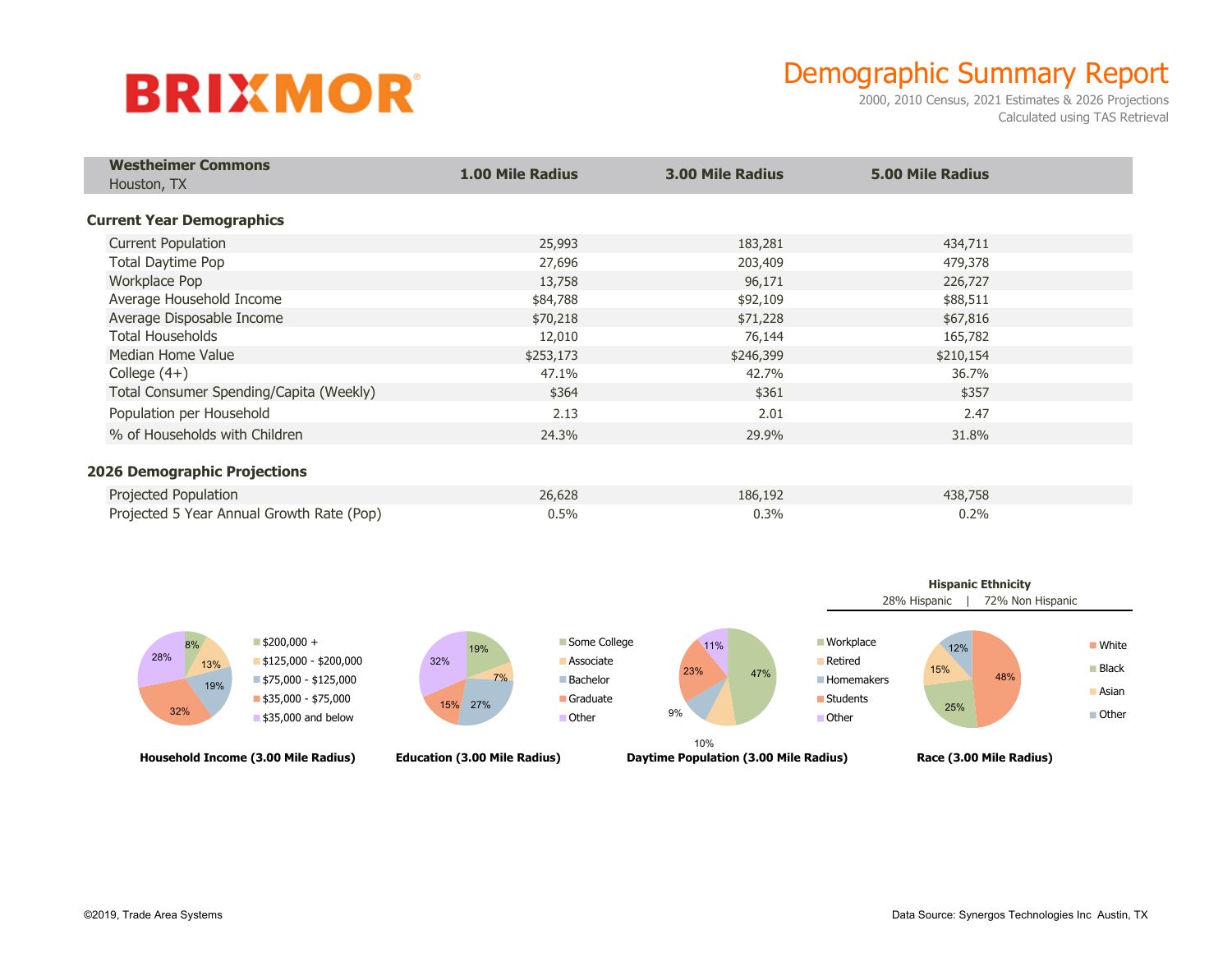## **BRIXMOR**

## Demographic Summary Report

2000, 2010 Census, 2021 Estimates & 2026 Projections Calculated using TAS Retrieval

| <b>Westheimer Commons</b><br>Houston, TX  | <b>1.00 Mile Radius</b> | <b>3.00 Mile Radius</b> | <b>5.00 Mile Radius</b> |  |
|-------------------------------------------|-------------------------|-------------------------|-------------------------|--|
| <b>Current Year Demographics</b>          |                         |                         |                         |  |
| <b>Current Population</b>                 | 25,993                  | 183,281                 | 434,711                 |  |
| <b>Total Daytime Pop</b>                  | 27,696                  | 203,409                 | 479,378                 |  |
| Workplace Pop                             | 13,758                  | 96,171                  | 226,727                 |  |
| Average Household Income                  | \$84,788                | \$92,109                | \$88,511                |  |
| Average Disposable Income                 | \$70,218                | \$71,228                | \$67,816                |  |
| <b>Total Households</b>                   | 12,010                  | 76,144                  | 165,782                 |  |
| Median Home Value                         | \$253,173               | \$246,399               | \$210,154               |  |
| College $(4+)$                            | 47.1%                   | 42.7%                   | 36.7%                   |  |
| Total Consumer Spending/Capita (Weekly)   | \$364                   | \$361                   | \$357                   |  |
| Population per Household                  | 2.13                    | 2.01                    | 2.47                    |  |
| % of Households with Children             | 24.3%                   | 29.9%                   | 31.8%                   |  |
| <b>2026 Demographic Projections</b>       |                         |                         |                         |  |
| Projected Population                      | 26,628                  | 186,192                 | 438,758                 |  |
| Projected 5 Year Annual Growth Rate (Pop) | 0.5%                    | 0.3%                    | 0.2%                    |  |